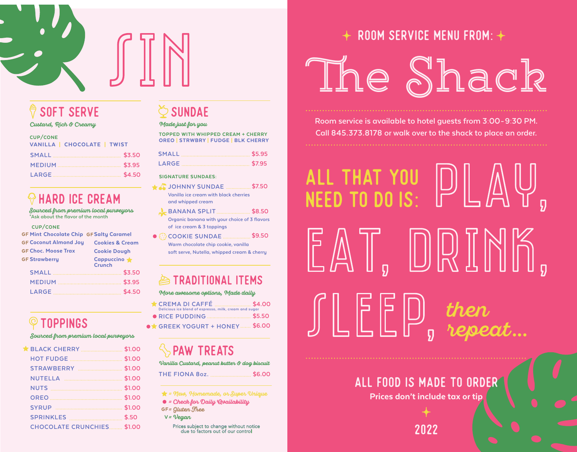

## soft serve

#### Custard, Rich & Creamy

| <b>CUP/CONE</b><br>VANILLA   CHOCOLATE   TWIST |  |
|------------------------------------------------|--|
|                                                |  |
|                                                |  |
|                                                |  |

## $\odot$  HARD ICE CREAM

**Sourced from premium local purveyors<br>\*Ask about the flavor of the month** 

#### CUP/CONE

| <b>GF Mint Chocolate Chip GF Salty Caramel</b> |                               |
|------------------------------------------------|-------------------------------|
| <b>GF Coconut Almond Joy</b>                   | <b>Cookies &amp; Cream</b>    |
| <b>GF Choc. Moose Trax</b>                     | <b>Cookie Dough</b>           |
| <b>GF Strawberru</b>                           | Cappuccino *<br><b>Crunch</b> |
|                                                | \$3.50                        |
|                                                | \$3.95                        |
| LARGE                                          | \$4.50                        |

## TOPPINGS

Sourced from premium local purveyors

|                                   | \$1.00 |
|-----------------------------------|--------|
|                                   | \$1.00 |
| <b>SYRUP</b>                      |        |
| <b>SPRINKLES</b>                  | \$.50  |
| <b>CHOCOLATE CRUNCHIES \$1.00</b> |        |
|                                   |        |

# $\Diamond$  sundae

### Made just for you

TOPPED WITH WHIPPED CREAM + CHERRY OREO | STRWBRY | FUDGE | BLK CHERRY

SIGNATURE SUNDAES:

- **\$7.50 JOHNNY SUNDAE Vanilla ice cream with black cherries**
- **and whipped cream**
- **\$8.50 BANANA SPLIT Organic banana with your choice of 3 flavors of ice cream & 3 toppings**
- **COOKIE SUNDAE Warm chocolate chip cookie, vanilla soft serve, Nutella, whipped cream & cherry \$9.50**

## $\triangle$  TRADITIONAL ITEMS

#### More awesome options, Made daily

| CREMA DI CAFFÉ \$4.00<br>Delicious ice blend of espresso, milk, cream and sugar |  |
|---------------------------------------------------------------------------------|--|
|                                                                                 |  |
| GREEK YOGURT + HONEY  \$6.00                                                    |  |

## **SPAW TREATS**

**THE FIONA 8oz. \$6.00** Vanilla Custard, peanut butter & dog biscuit

 $\bigstar$  = New, Homemade, or Super Unique

 $\bullet$  = Check for Daily Qvailability

 $GF = Gluten$   $There$ 

 $V = V$ egan

Prices subject to change without notice due to factors out of our control

## room service MENU from:

# The Shack

**Room service is available to hotel guests from 3:00-9:30 PM. Call 845.373.8178 or walk over to the shack to place an order.**

# all that you need to do is: EAT, DRINK, then repeat ...

# all food is made to order

Prices don't include tax or tip

2022